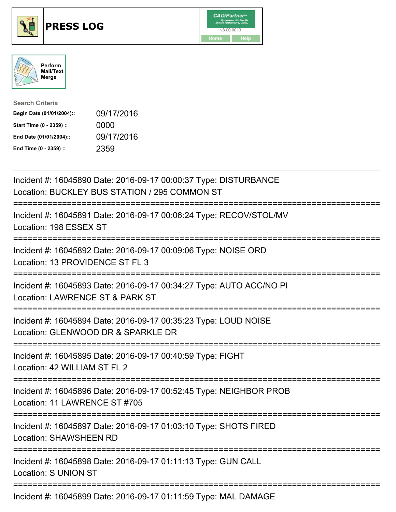





| <b>Search Criteria</b>    |            |
|---------------------------|------------|
| Begin Date (01/01/2004):: | 09/17/2016 |
| Start Time (0 - 2359) ::  | 0000       |
| End Date (01/01/2004)::   | 09/17/2016 |
| End Time (0 - 2359) ::    | 2359       |

| Incident #: 16045890 Date: 2016-09-17 00:00:37 Type: DISTURBANCE<br>Location: BUCKLEY BUS STATION / 295 COMMON ST        |
|--------------------------------------------------------------------------------------------------------------------------|
| Incident #: 16045891 Date: 2016-09-17 00:06:24 Type: RECOV/STOL/MV<br>Location: 198 ESSEX ST                             |
| Incident #: 16045892 Date: 2016-09-17 00:09:06 Type: NOISE ORD<br>Location: 13 PROVIDENCE ST FL 3                        |
| Incident #: 16045893 Date: 2016-09-17 00:34:27 Type: AUTO ACC/NO PI<br>Location: LAWRENCE ST & PARK ST                   |
| Incident #: 16045894 Date: 2016-09-17 00:35:23 Type: LOUD NOISE<br>Location: GLENWOOD DR & SPARKLE DR                    |
| Incident #: 16045895 Date: 2016-09-17 00:40:59 Type: FIGHT<br>Location: 42 WILLIAM ST FL 2                               |
| Incident #: 16045896 Date: 2016-09-17 00:52:45 Type: NEIGHBOR PROB<br>Location: 11 LAWRENCE ST #705<br>:================ |
| Incident #: 16045897 Date: 2016-09-17 01:03:10 Type: SHOTS FIRED<br><b>Location: SHAWSHEEN RD</b>                        |
| Incident #: 16045898 Date: 2016-09-17 01:11:13 Type: GUN CALL<br><b>Location: S UNION ST</b>                             |
| Incident #: 16045899 Date: 2016-09-17 01:11:59 Type: MAL DAMAGE                                                          |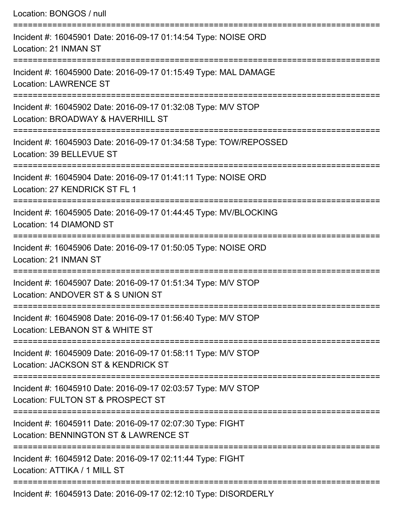| Location: BONGOS / null                                                                                                    |
|----------------------------------------------------------------------------------------------------------------------------|
| Incident #: 16045901 Date: 2016-09-17 01:14:54 Type: NOISE ORD<br>Location: 21 INMAN ST                                    |
| Incident #: 16045900 Date: 2016-09-17 01:15:49 Type: MAL DAMAGE<br><b>Location: LAWRENCE ST</b>                            |
| Incident #: 16045902 Date: 2016-09-17 01:32:08 Type: M/V STOP<br>Location: BROADWAY & HAVERHILL ST                         |
| Incident #: 16045903 Date: 2016-09-17 01:34:58 Type: TOW/REPOSSED<br>Location: 39 BELLEVUE ST                              |
| Incident #: 16045904 Date: 2016-09-17 01:41:11 Type: NOISE ORD<br>Location: 27 KENDRICK ST FL 1                            |
| Incident #: 16045905 Date: 2016-09-17 01:44:45 Type: MV/BLOCKING<br>Location: 14 DIAMOND ST                                |
| ===============================<br>Incident #: 16045906 Date: 2016-09-17 01:50:05 Type: NOISE ORD<br>Location: 21 INMAN ST |
| Incident #: 16045907 Date: 2016-09-17 01:51:34 Type: M/V STOP<br>Location: ANDOVER ST & S UNION ST                         |
| Incident #: 16045908 Date: 2016-09-17 01:56:40 Type: M/V STOP<br>Location: LEBANON ST & WHITE ST                           |
| Incident #: 16045909 Date: 2016-09-17 01:58:11 Type: M/V STOP<br>Location: JACKSON ST & KENDRICK ST                        |
| Incident #: 16045910 Date: 2016-09-17 02:03:57 Type: M/V STOP<br>Location: FULTON ST & PROSPECT ST                         |
| Incident #: 16045911 Date: 2016-09-17 02:07:30 Type: FIGHT<br>Location: BENNINGTON ST & LAWRENCE ST                        |
| Incident #: 16045912 Date: 2016-09-17 02:11:44 Type: FIGHT<br>Location: ATTIKA / 1 MILL ST                                 |
| Incident #: 16045913 Date: 2016-09-17 02:12:10 Type: DISORDERLY                                                            |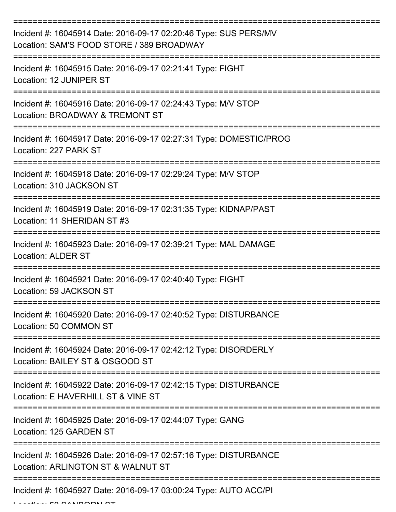| Incident #: 16045914 Date: 2016-09-17 02:20:46 Type: SUS PERS/MV<br>Location: SAM'S FOOD STORE / 389 BROADWAY |
|---------------------------------------------------------------------------------------------------------------|
| Incident #: 16045915 Date: 2016-09-17 02:21:41 Type: FIGHT<br>Location: 12 JUNIPER ST                         |
| Incident #: 16045916 Date: 2016-09-17 02:24:43 Type: M/V STOP<br>Location: BROADWAY & TREMONT ST              |
| Incident #: 16045917 Date: 2016-09-17 02:27:31 Type: DOMESTIC/PROG<br>Location: 227 PARK ST                   |
| Incident #: 16045918 Date: 2016-09-17 02:29:24 Type: M/V STOP<br>Location: 310 JACKSON ST                     |
| Incident #: 16045919 Date: 2016-09-17 02:31:35 Type: KIDNAP/PAST<br>Location: 11 SHERIDAN ST #3               |
| Incident #: 16045923 Date: 2016-09-17 02:39:21 Type: MAL DAMAGE<br><b>Location: ALDER ST</b>                  |
| Incident #: 16045921 Date: 2016-09-17 02:40:40 Type: FIGHT<br>Location: 59 JACKSON ST                         |
| Incident #: 16045920 Date: 2016-09-17 02:40:52 Type: DISTURBANCE<br>Location: 50 COMMON ST                    |
| Incident #: 16045924 Date: 2016-09-17 02:42:12 Type: DISORDERLY<br>Location: BAILEY ST & OSGOOD ST            |
| Incident #: 16045922 Date: 2016-09-17 02:42:15 Type: DISTURBANCE<br>Location: E HAVERHILL ST & VINE ST        |
| Incident #: 16045925 Date: 2016-09-17 02:44:07 Type: GANG<br>Location: 125 GARDEN ST                          |
| Incident #: 16045926 Date: 2016-09-17 02:57:16 Type: DISTURBANCE<br>Location: ARLINGTON ST & WALNUT ST        |
| Incident #: 16045927 Date: 2016-09-17 03:00:24 Type: AUTO ACC/PI                                              |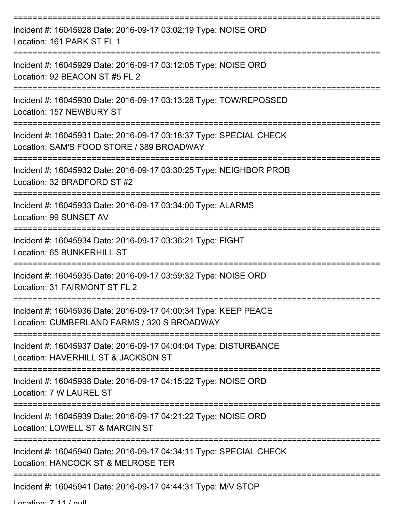| Incident #: 16045928 Date: 2016-09-17 03:02:19 Type: NOISE ORD<br>Location: 161 PARK ST FL 1                    |
|-----------------------------------------------------------------------------------------------------------------|
| Incident #: 16045929 Date: 2016-09-17 03:12:05 Type: NOISE ORD<br>Location: 92 BEACON ST #5 FL 2                |
| Incident #: 16045930 Date: 2016-09-17 03:13:28 Type: TOW/REPOSSED<br>Location: 157 NEWBURY ST                   |
| Incident #: 16045931 Date: 2016-09-17 03:18:37 Type: SPECIAL CHECK<br>Location: SAM'S FOOD STORE / 389 BROADWAY |
| Incident #: 16045932 Date: 2016-09-17 03:30:25 Type: NEIGHBOR PROB<br>Location: 32 BRADFORD ST #2               |
| Incident #: 16045933 Date: 2016-09-17 03:34:00 Type: ALARMS<br>Location: 99 SUNSET AV                           |
| Incident #: 16045934 Date: 2016-09-17 03:36:21 Type: FIGHT<br>Location: 65 BUNKERHILL ST                        |
| Incident #: 16045935 Date: 2016-09-17 03:59:32 Type: NOISE ORD<br>Location: 31 FAIRMONT ST FL 2                 |
| Incident #: 16045936 Date: 2016-09-17 04:00:34 Type: KEEP PEACE<br>Location: CUMBERLAND FARMS / 320 S BROADWAY  |
| Incident #: 16045937 Date: 2016-09-17 04:04:04 Type: DISTURBANCE<br>Location: HAVERHILL ST & JACKSON ST         |
| Incident #: 16045938 Date: 2016-09-17 04:15:22 Type: NOISE ORD<br>Location: 7 W LAUREL ST                       |
| Incident #: 16045939 Date: 2016-09-17 04:21:22 Type: NOISE ORD<br>Location: LOWELL ST & MARGIN ST               |
| Incident #: 16045940 Date: 2016-09-17 04:34:11 Type: SPECIAL CHECK<br>Location: HANCOCK ST & MELROSE TER        |
| Incident #: 16045941 Date: 2016-09-17 04:44:31 Type: M/V STOP                                                   |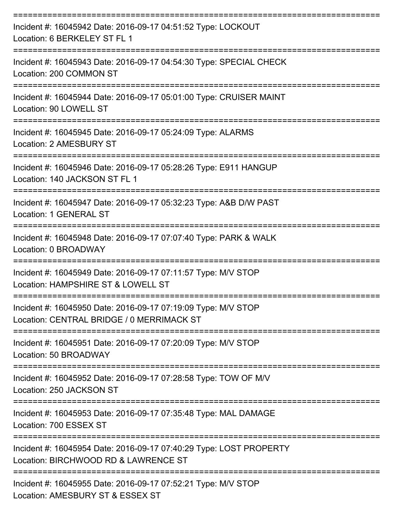| Incident #: 16045942 Date: 2016-09-17 04:51:52 Type: LOCKOUT<br>Location: 6 BERKELEY ST FL 1                                  |
|-------------------------------------------------------------------------------------------------------------------------------|
| Incident #: 16045943 Date: 2016-09-17 04:54:30 Type: SPECIAL CHECK<br>Location: 200 COMMON ST                                 |
| Incident #: 16045944 Date: 2016-09-17 05:01:00 Type: CRUISER MAINT<br>Location: 90 LOWELL ST<br>----------------------------- |
| Incident #: 16045945 Date: 2016-09-17 05:24:09 Type: ALARMS<br>Location: 2 AMESBURY ST                                        |
| Incident #: 16045946 Date: 2016-09-17 05:28:26 Type: E911 HANGUP<br>Location: 140 JACKSON ST FL 1                             |
| Incident #: 16045947 Date: 2016-09-17 05:32:23 Type: A&B D/W PAST<br>Location: 1 GENERAL ST<br>===================            |
| Incident #: 16045948 Date: 2016-09-17 07:07:40 Type: PARK & WALK<br>Location: 0 BROADWAY                                      |
| Incident #: 16045949 Date: 2016-09-17 07:11:57 Type: M/V STOP<br>Location: HAMPSHIRE ST & LOWELL ST                           |
| Incident #: 16045950 Date: 2016-09-17 07:19:09 Type: M/V STOP<br>Location: CENTRAL BRIDGE / 0 MERRIMACK ST                    |
| Incident #: 16045951 Date: 2016-09-17 07:20:09 Type: M/V STOP<br>Location: 50 BROADWAY                                        |
| Incident #: 16045952 Date: 2016-09-17 07:28:58 Type: TOW OF M/V<br>Location: 250 JACKSON ST                                   |
| Incident #: 16045953 Date: 2016-09-17 07:35:48 Type: MAL DAMAGE<br>Location: 700 ESSEX ST                                     |
| Incident #: 16045954 Date: 2016-09-17 07:40:29 Type: LOST PROPERTY<br>Location: BIRCHWOOD RD & LAWRENCE ST                    |
| Incident #: 16045955 Date: 2016-09-17 07:52:21 Type: M/V STOP<br>Location: AMESBURY ST & ESSEX ST                             |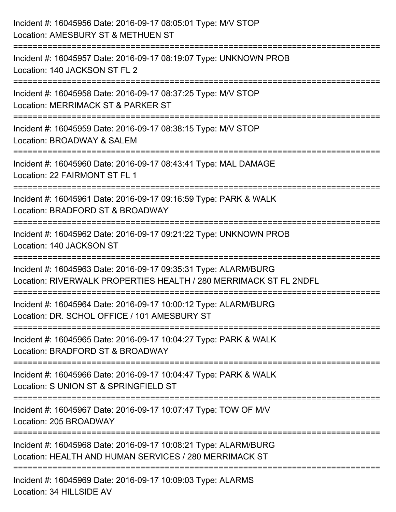| Incident #: 16045956 Date: 2016-09-17 08:05:01 Type: M/V STOP<br>Location: AMESBURY ST & METHUEN ST                                  |
|--------------------------------------------------------------------------------------------------------------------------------------|
| .=======================<br>Incident #: 16045957 Date: 2016-09-17 08:19:07 Type: UNKNOWN PROB<br>Location: 140 JACKSON ST FL 2       |
| Incident #: 16045958 Date: 2016-09-17 08:37:25 Type: M/V STOP<br>Location: MERRIMACK ST & PARKER ST<br>=====================         |
| Incident #: 16045959 Date: 2016-09-17 08:38:15 Type: M/V STOP<br>Location: BROADWAY & SALEM<br>:===================                  |
| Incident #: 16045960 Date: 2016-09-17 08:43:41 Type: MAL DAMAGE<br>Location: 22 FAIRMONT ST FL 1                                     |
| Incident #: 16045961 Date: 2016-09-17 09:16:59 Type: PARK & WALK<br>Location: BRADFORD ST & BROADWAY                                 |
| Incident #: 16045962 Date: 2016-09-17 09:21:22 Type: UNKNOWN PROB<br>Location: 140 JACKSON ST                                        |
| Incident #: 16045963 Date: 2016-09-17 09:35:31 Type: ALARM/BURG<br>Location: RIVERWALK PROPERTIES HEALTH / 280 MERRIMACK ST FL 2NDFL |
| Incident #: 16045964 Date: 2016-09-17 10:00:12 Type: ALARM/BURG<br>Location: DR. SCHOL OFFICE / 101 AMESBURY ST                      |
| Incident #: 16045965 Date: 2016-09-17 10:04:27 Type: PARK & WALK<br>Location: BRADFORD ST & BROADWAY                                 |
| Incident #: 16045966 Date: 2016-09-17 10:04:47 Type: PARK & WALK<br>Location: S UNION ST & SPRINGFIELD ST                            |
| Incident #: 16045967 Date: 2016-09-17 10:07:47 Type: TOW OF M/V<br>Location: 205 BROADWAY                                            |
| Incident #: 16045968 Date: 2016-09-17 10:08:21 Type: ALARM/BURG<br>Location: HEALTH AND HUMAN SERVICES / 280 MERRIMACK ST            |
| Incident #: 16045969 Date: 2016-09-17 10:09:03 Type: ALARMS                                                                          |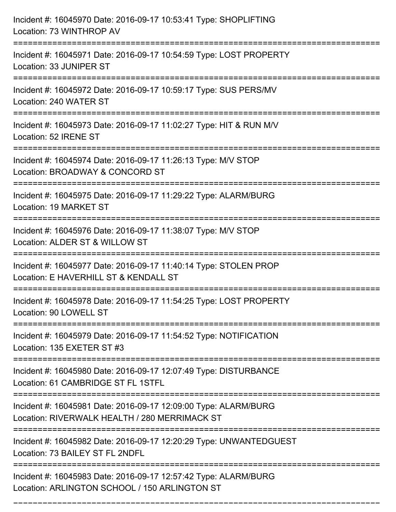| Incident #: 16045970 Date: 2016-09-17 10:53:41 Type: SHOPLIFTING<br>Location: 73 WINTHROP AV                     |
|------------------------------------------------------------------------------------------------------------------|
| Incident #: 16045971 Date: 2016-09-17 10:54:59 Type: LOST PROPERTY<br>Location: 33 JUNIPER ST                    |
| Incident #: 16045972 Date: 2016-09-17 10:59:17 Type: SUS PERS/MV<br>Location: 240 WATER ST                       |
| Incident #: 16045973 Date: 2016-09-17 11:02:27 Type: HIT & RUN M/V<br>Location: 52 IRENE ST                      |
| Incident #: 16045974 Date: 2016-09-17 11:26:13 Type: M/V STOP<br>Location: BROADWAY & CONCORD ST                 |
| Incident #: 16045975 Date: 2016-09-17 11:29:22 Type: ALARM/BURG<br>Location: 19 MARKET ST                        |
| Incident #: 16045976 Date: 2016-09-17 11:38:07 Type: M/V STOP<br>Location: ALDER ST & WILLOW ST                  |
| Incident #: 16045977 Date: 2016-09-17 11:40:14 Type: STOLEN PROP<br>Location: E HAVERHILL ST & KENDALL ST        |
| Incident #: 16045978 Date: 2016-09-17 11:54:25 Type: LOST PROPERTY<br>Location: 90 LOWELL ST                     |
| Incident #: 16045979 Date: 2016-09-17 11:54:52 Type: NOTIFICATION<br>Location: 135 EXETER ST #3                  |
| Incident #: 16045980 Date: 2016-09-17 12:07:49 Type: DISTURBANCE<br>Location: 61 CAMBRIDGE ST FL 1STFL           |
| Incident #: 16045981 Date: 2016-09-17 12:09:00 Type: ALARM/BURG<br>Location: RIVERWALK HEALTH / 280 MERRIMACK ST |
| Incident #: 16045982 Date: 2016-09-17 12:20:29 Type: UNWANTEDGUEST<br>Location: 73 BAILEY ST FL 2NDFL            |
| Incident #: 16045983 Date: 2016-09-17 12:57:42 Type: ALARM/BURG<br>Location: ARLINGTON SCHOOL / 150 ARLINGTON ST |

===========================================================================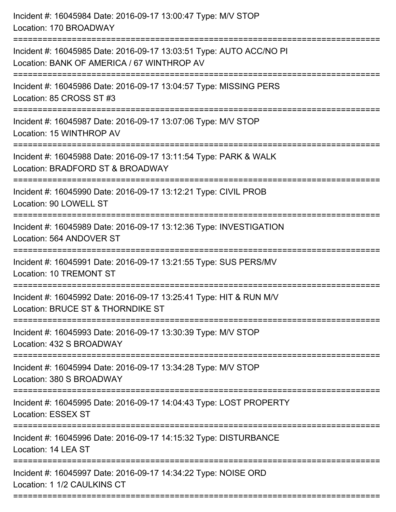| Incident #: 16045984 Date: 2016-09-17 13:00:47 Type: M/V STOP<br>Location: 170 BROADWAY                                                                           |
|-------------------------------------------------------------------------------------------------------------------------------------------------------------------|
| Incident #: 16045985 Date: 2016-09-17 13:03:51 Type: AUTO ACC/NO PI<br>Location: BANK OF AMERICA / 67 WINTHROP AV                                                 |
| Incident #: 16045986 Date: 2016-09-17 13:04:57 Type: MISSING PERS<br>Location: 85 CROSS ST #3                                                                     |
| Incident #: 16045987 Date: 2016-09-17 13:07:06 Type: M/V STOP<br>Location: 15 WINTHROP AV                                                                         |
| Incident #: 16045988 Date: 2016-09-17 13:11:54 Type: PARK & WALK<br>Location: BRADFORD ST & BROADWAY<br>:======================<br>============================== |
| Incident #: 16045990 Date: 2016-09-17 13:12:21 Type: CIVIL PROB<br>Location: 90 LOWELL ST                                                                         |
| Incident #: 16045989 Date: 2016-09-17 13:12:36 Type: INVESTIGATION<br>Location: 564 ANDOVER ST                                                                    |
| Incident #: 16045991 Date: 2016-09-17 13:21:55 Type: SUS PERS/MV<br>Location: 10 TREMONT ST                                                                       |
| Incident #: 16045992 Date: 2016-09-17 13:25:41 Type: HIT & RUN M/V<br>Location: BRUCE ST & THORNDIKE ST                                                           |
| Incident #: 16045993 Date: 2016-09-17 13:30:39 Type: M/V STOP<br>Location: 432 S BROADWAY                                                                         |
| Incident #: 16045994 Date: 2016-09-17 13:34:28 Type: M/V STOP<br>Location: 380 S BROADWAY                                                                         |
| Incident #: 16045995 Date: 2016-09-17 14:04:43 Type: LOST PROPERTY<br><b>Location: ESSEX ST</b>                                                                   |
| Incident #: 16045996 Date: 2016-09-17 14:15:32 Type: DISTURBANCE<br>Location: 14 LEA ST                                                                           |
| ==========================<br>Incident #: 16045997 Date: 2016-09-17 14:34:22 Type: NOISE ORD<br>Location: 1 1/2 CAULKINS CT                                       |
|                                                                                                                                                                   |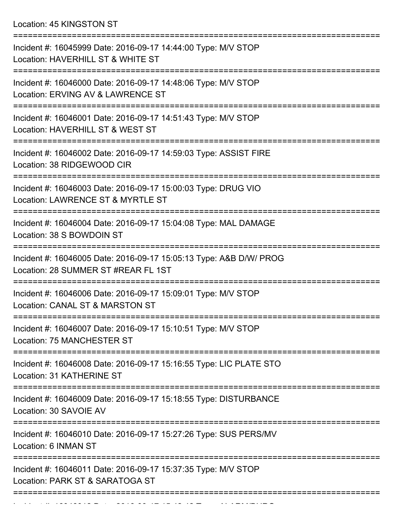Location: 45 KINGSTON ST

| Incident #: 16045999 Date: 2016-09-17 14:44:00 Type: M/V STOP<br>Location: HAVERHILL ST & WHITE ST                        |
|---------------------------------------------------------------------------------------------------------------------------|
| Incident #: 16046000 Date: 2016-09-17 14:48:06 Type: M/V STOP<br>Location: ERVING AV & LAWRENCE ST                        |
| Incident #: 16046001 Date: 2016-09-17 14:51:43 Type: M/V STOP<br>Location: HAVERHILL ST & WEST ST                         |
| Incident #: 16046002 Date: 2016-09-17 14:59:03 Type: ASSIST FIRE<br>Location: 38 RIDGEWOOD CIR                            |
| Incident #: 16046003 Date: 2016-09-17 15:00:03 Type: DRUG VIO<br>Location: LAWRENCE ST & MYRTLE ST<br>------------------- |
| Incident #: 16046004 Date: 2016-09-17 15:04:08 Type: MAL DAMAGE<br>Location: 38 S BOWDOIN ST                              |
| Incident #: 16046005 Date: 2016-09-17 15:05:13 Type: A&B D/W/ PROG<br>Location: 28 SUMMER ST #REAR FL 1ST                 |
| Incident #: 16046006 Date: 2016-09-17 15:09:01 Type: M/V STOP<br>Location: CANAL ST & MARSTON ST<br>:===================  |
| Incident #: 16046007 Date: 2016-09-17 15:10:51 Type: M/V STOP<br>Location: 75 MANCHESTER ST                               |
| Incident #: 16046008 Date: 2016-09-17 15:16:55 Type: LIC PLATE STO<br>Location: 31 KATHERINE ST                           |
| Incident #: 16046009 Date: 2016-09-17 15:18:55 Type: DISTURBANCE<br>Location: 30 SAVOIE AV                                |
| ==========================<br>Incident #: 16046010 Date: 2016-09-17 15:27:26 Type: SUS PERS/MV<br>Location: 6 INMAN ST    |
| Incident #: 16046011 Date: 2016-09-17 15:37:35 Type: M/V STOP<br>Location: PARK ST & SARATOGA ST                          |
|                                                                                                                           |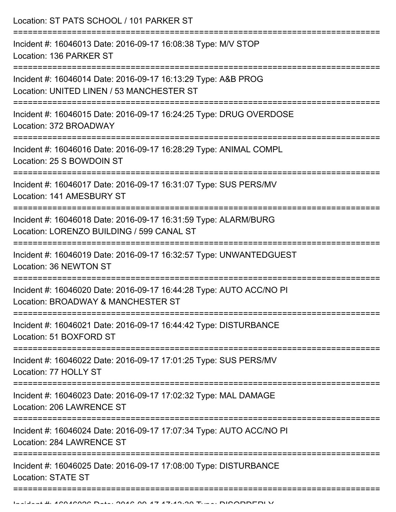Location: ST PATS SCHOOL / 101 PARKER ST =========================================================================== Incident #: 16046013 Date: 2016-09-17 16:08:38 Type: M/V STOP Location: 136 PARKER ST =========================================================================== Incident #: 16046014 Date: 2016-09-17 16:13:29 Type: A&B PROG Location: UNITED LINEN / 53 MANCHESTER ST =========================================================================== Incident #: 16046015 Date: 2016-09-17 16:24:25 Type: DRUG OVERDOSE Location: 372 BROADWAY =========================================================================== Incident #: 16046016 Date: 2016-09-17 16:28:29 Type: ANIMAL COMPL Location: 25 S BOWDOIN ST =========================================================================== Incident #: 16046017 Date: 2016-09-17 16:31:07 Type: SUS PERS/MV Location: 141 AMESBURY ST =========================================================================== Incident #: 16046018 Date: 2016-09-17 16:31:59 Type: ALARM/BURG Location: LORENZO BUILDING / 599 CANAL ST =========================================================================== Incident #: 16046019 Date: 2016-09-17 16:32:57 Type: UNWANTEDGUEST Location: 36 NEWTON ST =========================================================================== Incident #: 16046020 Date: 2016-09-17 16:44:28 Type: AUTO ACC/NO PI Location: BROADWAY & MANCHESTER ST =========================================================================== Incident #: 16046021 Date: 2016-09-17 16:44:42 Type: DISTURBANCE Location: 51 BOXFORD ST =========================================================================== Incident #: 16046022 Date: 2016-09-17 17:01:25 Type: SUS PERS/MV Location: 77 HOLLY ST =========================================================================== Incident #: 16046023 Date: 2016-09-17 17:02:32 Type: MAL DAMAGE Location: 206 LAWRENCE ST =========================================================================== Incident #: 16046024 Date: 2016-09-17 17:07:34 Type: AUTO ACC/NO PI Location: 284 LAWRENCE ST =========================================================================== Incident #: 16046025 Date: 2016-09-17 17:08:00 Type: DISTURBANCE Location: STATE ST ===========================================================================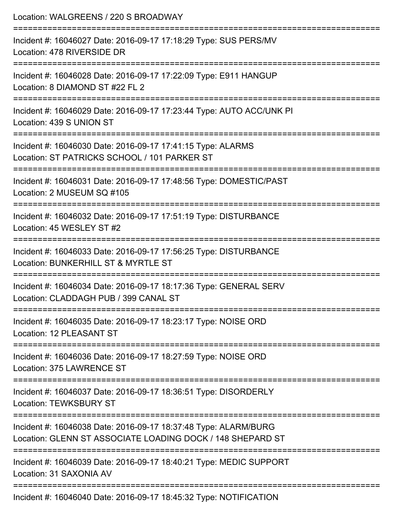| Location: WALGREENS / 220 S BROADWAY                                                                                                    |
|-----------------------------------------------------------------------------------------------------------------------------------------|
| Incident #: 16046027 Date: 2016-09-17 17:18:29 Type: SUS PERS/MV<br>Location: 478 RIVERSIDE DR<br>==================================    |
| Incident #: 16046028 Date: 2016-09-17 17:22:09 Type: E911 HANGUP<br>Location: 8 DIAMOND ST #22 FL 2                                     |
| Incident #: 16046029 Date: 2016-09-17 17:23:44 Type: AUTO ACC/UNK PI<br>Location: 439 S UNION ST<br>================================    |
| Incident #: 16046030 Date: 2016-09-17 17:41:15 Type: ALARMS<br>Location: ST PATRICKS SCHOOL / 101 PARKER ST<br>:======================= |
| Incident #: 16046031 Date: 2016-09-17 17:48:56 Type: DOMESTIC/PAST<br>Location: 2 MUSEUM SQ #105<br>==================================  |
| Incident #: 16046032 Date: 2016-09-17 17:51:19 Type: DISTURBANCE<br>Location: 45 WESLEY ST #2                                           |
| Incident #: 16046033 Date: 2016-09-17 17:56:25 Type: DISTURBANCE<br>Location: BUNKERHILL ST & MYRTLE ST                                 |
| Incident #: 16046034 Date: 2016-09-17 18:17:36 Type: GENERAL SERV<br>Location: CLADDAGH PUB / 399 CANAL ST                              |
| Incident #: 16046035 Date: 2016-09-17 18:23:17 Type: NOISE ORD<br>Location: 12 PLEASANT ST                                              |
| Incident #: 16046036 Date: 2016-09-17 18:27:59 Type: NOISE ORD<br>Location: 375 LAWRENCE ST                                             |
| Incident #: 16046037 Date: 2016-09-17 18:36:51 Type: DISORDERLY<br><b>Location: TEWKSBURY ST</b>                                        |
| Incident #: 16046038 Date: 2016-09-17 18:37:48 Type: ALARM/BURG<br>Location: GLENN ST ASSOCIATE LOADING DOCK / 148 SHEPARD ST           |
| Incident #: 16046039 Date: 2016-09-17 18:40:21 Type: MEDIC SUPPORT<br>Location: 31 SAXONIA AV                                           |

Incident #: 16046040 Date: 2016-09-17 18:45:32 Type: NOTIFICATION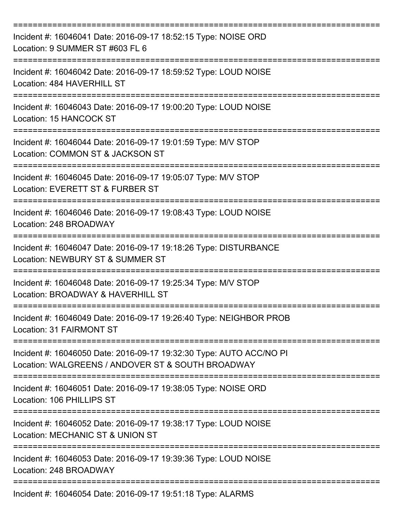| Incident #: 16046041 Date: 2016-09-17 18:52:15 Type: NOISE ORD<br>Location: 9 SUMMER ST #603 FL 6                        |
|--------------------------------------------------------------------------------------------------------------------------|
| Incident #: 16046042 Date: 2016-09-17 18:59:52 Type: LOUD NOISE<br>Location: 484 HAVERHILL ST                            |
| Incident #: 16046043 Date: 2016-09-17 19:00:20 Type: LOUD NOISE<br>Location: 15 HANCOCK ST                               |
| Incident #: 16046044 Date: 2016-09-17 19:01:59 Type: M/V STOP<br>Location: COMMON ST & JACKSON ST                        |
| Incident #: 16046045 Date: 2016-09-17 19:05:07 Type: M/V STOP<br>Location: EVERETT ST & FURBER ST                        |
| Incident #: 16046046 Date: 2016-09-17 19:08:43 Type: LOUD NOISE<br>Location: 248 BROADWAY                                |
| Incident #: 16046047 Date: 2016-09-17 19:18:26 Type: DISTURBANCE<br>Location: NEWBURY ST & SUMMER ST                     |
| Incident #: 16046048 Date: 2016-09-17 19:25:34 Type: M/V STOP<br>Location: BROADWAY & HAVERHILL ST                       |
| Incident #: 16046049 Date: 2016-09-17 19:26:40 Type: NEIGHBOR PROB<br>Location: 31 FAIRMONT ST                           |
| Incident #: 16046050 Date: 2016-09-17 19:32:30 Type: AUTO ACC/NO PI<br>Location: WALGREENS / ANDOVER ST & SOUTH BROADWAY |
| Incident #: 16046051 Date: 2016-09-17 19:38:05 Type: NOISE ORD<br>Location: 106 PHILLIPS ST                              |
| Incident #: 16046052 Date: 2016-09-17 19:38:17 Type: LOUD NOISE<br>Location: MECHANIC ST & UNION ST                      |
| Incident #: 16046053 Date: 2016-09-17 19:39:36 Type: LOUD NOISE<br>Location: 248 BROADWAY                                |
| Incident #: 16046054 Date: 2016-09-17 19:51:18 Type: ALARMS                                                              |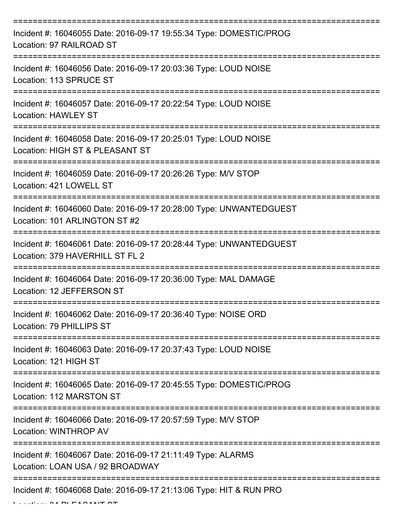| Incident #: 16046055 Date: 2016-09-17 19:55:34 Type: DOMESTIC/PROG<br>Location: 97 RAILROAD ST                                   |
|----------------------------------------------------------------------------------------------------------------------------------|
| Incident #: 16046056 Date: 2016-09-17 20:03:36 Type: LOUD NOISE<br>Location: 113 SPRUCE ST                                       |
| Incident #: 16046057 Date: 2016-09-17 20:22:54 Type: LOUD NOISE<br><b>Location: HAWLEY ST</b>                                    |
| Incident #: 16046058 Date: 2016-09-17 20:25:01 Type: LOUD NOISE<br>Location: HIGH ST & PLEASANT ST                               |
| Incident #: 16046059 Date: 2016-09-17 20:26:26 Type: M/V STOP<br>Location: 421 LOWELL ST<br>:=================================== |
| Incident #: 16046060 Date: 2016-09-17 20:28:00 Type: UNWANTEDGUEST<br>Location: 101 ARLINGTON ST #2                              |
| Incident #: 16046061 Date: 2016-09-17 20:28:44 Type: UNWANTEDGUEST<br>Location: 379 HAVERHILL ST FL 2                            |
| Incident #: 16046064 Date: 2016-09-17 20:36:00 Type: MAL DAMAGE<br>Location: 12 JEFFERSON ST                                     |
| Incident #: 16046062 Date: 2016-09-17 20:36:40 Type: NOISE ORD<br>Location: 79 PHILLIPS ST                                       |
| Incident #: 16046063 Date: 2016-09-17 20:37:43 Type: LOUD NOISE<br>Location: 121 HIGH ST                                         |
| Incident #: 16046065 Date: 2016-09-17 20:45:55 Type: DOMESTIC/PROG<br>Location: 112 MARSTON ST                                   |
| Incident #: 16046066 Date: 2016-09-17 20:57:59 Type: M/V STOP<br>Location: WINTHROP AV                                           |
| Incident #: 16046067 Date: 2016-09-17 21:11:49 Type: ALARMS<br>Location: LOAN USA / 92 BROADWAY                                  |
| Incident #: 16046068 Date: 2016-09-17 21:13:06 Type: HIT & RUN PRO                                                               |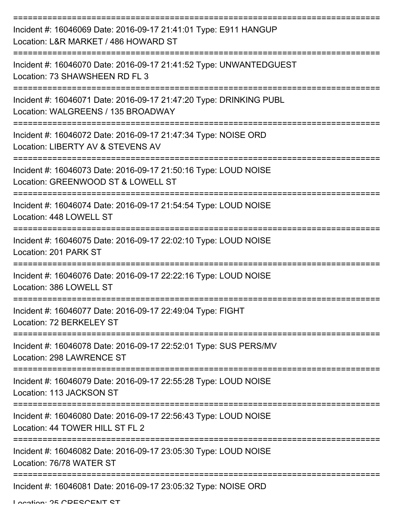| Incident #: 16046069 Date: 2016-09-17 21:41:01 Type: E911 HANGUP<br>Location: L&R MARKET / 486 HOWARD ST |
|----------------------------------------------------------------------------------------------------------|
| Incident #: 16046070 Date: 2016-09-17 21:41:52 Type: UNWANTEDGUEST<br>Location: 73 SHAWSHEEN RD FL 3     |
| Incident #: 16046071 Date: 2016-09-17 21:47:20 Type: DRINKING PUBL<br>Location: WALGREENS / 135 BROADWAY |
| Incident #: 16046072 Date: 2016-09-17 21:47:34 Type: NOISE ORD<br>Location: LIBERTY AV & STEVENS AV      |
| Incident #: 16046073 Date: 2016-09-17 21:50:16 Type: LOUD NOISE<br>Location: GREENWOOD ST & LOWELL ST    |
| Incident #: 16046074 Date: 2016-09-17 21:54:54 Type: LOUD NOISE<br>Location: 448 LOWELL ST               |
| Incident #: 16046075 Date: 2016-09-17 22:02:10 Type: LOUD NOISE<br>Location: 201 PARK ST                 |
| Incident #: 16046076 Date: 2016-09-17 22:22:16 Type: LOUD NOISE<br>Location: 386 LOWELL ST               |
| Incident #: 16046077 Date: 2016-09-17 22:49:04 Type: FIGHT<br>Location: 72 BERKELEY ST                   |
| Incident #: 16046078 Date: 2016-09-17 22:52:01 Type: SUS PERS/MV<br>Location: 298 LAWRENCE ST            |
| Incident #: 16046079 Date: 2016-09-17 22:55:28 Type: LOUD NOISE<br>Location: 113 JACKSON ST              |
| Incident #: 16046080 Date: 2016-09-17 22:56:43 Type: LOUD NOISE<br>Location: 44 TOWER HILL ST FL 2       |
| Incident #: 16046082 Date: 2016-09-17 23:05:30 Type: LOUD NOISE<br>Location: 76/78 WATER ST              |
| Incident #: 16046081 Date: 2016-09-17 23:05:32 Type: NOISE ORD                                           |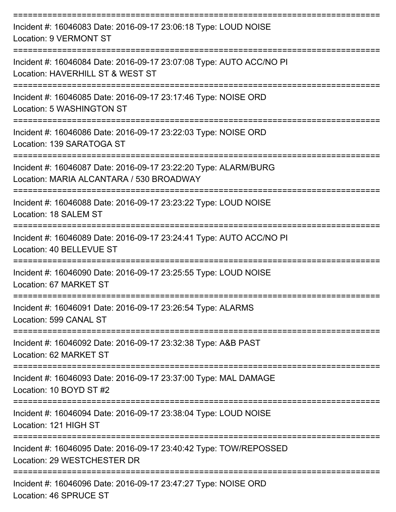| Incident #: 16046083 Date: 2016-09-17 23:06:18 Type: LOUD NOISE<br>Location: 9 VERMONT ST                   |
|-------------------------------------------------------------------------------------------------------------|
| Incident #: 16046084 Date: 2016-09-17 23:07:08 Type: AUTO ACC/NO PI<br>Location: HAVERHILL ST & WEST ST     |
| Incident #: 16046085 Date: 2016-09-17 23:17:46 Type: NOISE ORD<br>Location: 5 WASHINGTON ST                 |
| Incident #: 16046086 Date: 2016-09-17 23:22:03 Type: NOISE ORD<br>Location: 139 SARATOGA ST                 |
| Incident #: 16046087 Date: 2016-09-17 23:22:20 Type: ALARM/BURG<br>Location: MARIA ALCANTARA / 530 BROADWAY |
| Incident #: 16046088 Date: 2016-09-17 23:23:22 Type: LOUD NOISE<br>Location: 18 SALEM ST                    |
| Incident #: 16046089 Date: 2016-09-17 23:24:41 Type: AUTO ACC/NO PI<br>Location: 40 BELLEVUE ST             |
| Incident #: 16046090 Date: 2016-09-17 23:25:55 Type: LOUD NOISE<br>Location: 67 MARKET ST                   |
| Incident #: 16046091 Date: 2016-09-17 23:26:54 Type: ALARMS<br>Location: 599 CANAL ST                       |
| Incident #: 16046092 Date: 2016-09-17 23:32:38 Type: A&B PAST<br>Location: 62 MARKET ST                     |
| Incident #: 16046093 Date: 2016-09-17 23:37:00 Type: MAL DAMAGE<br>Location: 10 BOYD ST #2                  |
| Incident #: 16046094 Date: 2016-09-17 23:38:04 Type: LOUD NOISE<br>Location: 121 HIGH ST                    |
| Incident #: 16046095 Date: 2016-09-17 23:40:42 Type: TOW/REPOSSED<br>Location: 29 WESTCHESTER DR            |
| Incident #: 16046096 Date: 2016-09-17 23:47:27 Type: NOISE ORD<br>Location: 46 SPRUCE ST                    |